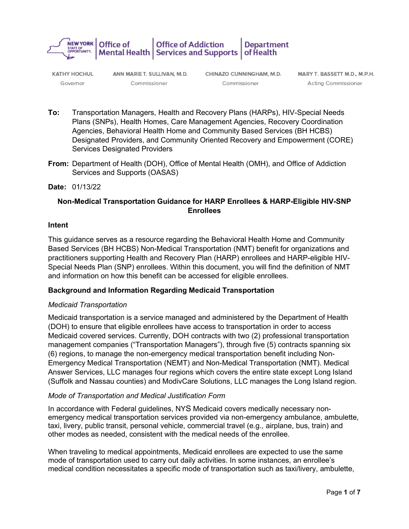

**KATHY HOCHUL** Governor

ANN MARIET. SULLIVAN, M.D. Commissioner

CHINAZO CUNNINGHAM, M.D. Commissioner

MARY T. BASSETT M.D., M.P.H. Acting Commissioner

- **To:** Transportation Managers, Health and Recovery Plans (HARPs), HIV-Special Needs Plans (SNPs), Health Homes, Care Management Agencies, Recovery Coordination Agencies, Behavioral Health Home and Community Based Services (BH HCBS) Designated Providers, and Community Oriented Recovery and Empowerment (CORE) Services Designated Providers
- **From:** Department of Health (DOH), Office of Mental Health (OMH), and Office of Addiction Services and Supports (OASAS)

#### **Date:** 01/13/22

# **Non-Medical Transportation Guidance for HARP Enrollees & HARP-Eligible HIV-SNP Enrollees**

#### **Intent**

This guidance serves as a resource regarding the Behavioral Health Home and Community Based Services (BH HCBS) Non-Medical Transportation (NMT) benefit for organizations and practitioners supporting Health and Recovery Plan (HARP) enrollees and HARP-eligible HIV-Special Needs Plan (SNP) enrollees. Within this document, you will find the definition of NMT and information on how this benefit can be accessed for eligible enrollees.

#### **Background and Information Regarding Medicaid Transportation**

#### *Medicaid Transportation*

Medicaid transportation is a service managed and administered by the Department of Health (DOH) to ensure that eligible enrollees have access to transportation in order to access Medicaid covered services. Currently, DOH contracts with two (2) professional transportation management companies ("Transportation Managers"), through five (5) contracts spanning six (6) regions, to manage the non-emergency medical transportation benefit including Non-Emergency Medical Transportation (NEMT) and Non-Medical Transportation (NMT). Medical Answer Services, LLC manages four regions which covers the entire state except Long Island (Suffolk and Nassau counties) and ModivCare Solutions, LLC manages the Long Island region.

#### *Mode of Transportation and Medical Justification Form*

In accordance with Federal guidelines, NYS Medicaid covers medically necessary nonemergency medical transportation services provided via non-emergency ambulance, ambulette, taxi, livery, public transit, personal vehicle, commercial travel (e.g., airplane, bus, train) and other modes as needed, consistent with the medical needs of the enrollee.

When traveling to medical appointments, Medicaid enrollees are expected to use the same mode of transportation used to carry out daily activities. In some instances, an enrollee's medical condition necessitates a specific mode of transportation such as taxi/livery, ambulette,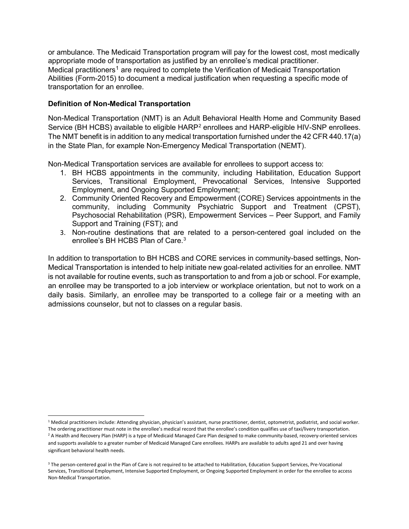or ambulance. The Medicaid Transportation program will pay for the lowest cost, most medically appropriate mode of transportation as justified by an enrollee's medical practitioner. Medical practitioners<sup>[1](#page-1-0)</sup> are required to complete the Verification of Medicaid Transportation Abilities (Form-2015) to document a medical justification when requesting a specific mode of transportation for an enrollee.

### **Definition of Non-Medical Transportation**

Non-Medical Transportation (NMT) is an Adult Behavioral Health Home and Community Based Service (BH HCBS) available to eligible HARP<sup>[2](#page-1-1)</sup> enrollees and HARP-eligible HIV-SNP enrollees. The NMT benefit is in addition to any medical transportation furnished under the 42 CFR 440.17(a) in the State Plan, for example Non-Emergency Medical Transportation (NEMT).

Non-Medical Transportation services are available for enrollees to support access to:

- 1. BH HCBS appointments in the community, including Habilitation, Education Support Services, Transitional Employment, Prevocational Services, Intensive Supported Employment, and Ongoing Supported Employment;
- 2. Community Oriented Recovery and Empowerment (CORE) Services appointments in the community, including Community Psychiatric Support and Treatment (CPST), Psychosocial Rehabilitation (PSR), Empowerment Services – Peer Support, and Family Support and Training (FST); and
- 3. Non-routine destinations that are related to a person-centered goal included on the enrollee's BH HCBS Plan of Care.<sup>[3](#page-1-2)</sup>

In addition to transportation to BH HCBS and CORE services in community-based settings, Non-Medical Transportation is intended to help initiate new goal-related activities for an enrollee. NMT is not available for routine events, such as transportation to and from a job or school. For example, an enrollee may be transported to a job interview or workplace orientation, but not to work on a daily basis. Similarly, an enrollee may be transported to a college fair or a meeting with an admissions counselor, but not to classes on a regular basis.

<span id="page-1-1"></span><span id="page-1-0"></span><sup>1</sup> Medical practitioners include: Attending physician, physician's assistant, nurse practitioner, dentist, optometrist, podiatrist, and social worker. The ordering practitioner must note in the enrollee's medical record that the enrollee's condition qualifies use of taxi/livery transportation. <sup>2</sup> A Health and Recovery Plan (HARP) is a type of Medicaid Managed Care Plan designed to make community-based, recovery-oriented services and supports available to a greater number of Medicaid Managed Care enrollees. HARPs are available to adults aged 21 and over having significant behavioral health needs.

<span id="page-1-2"></span><sup>&</sup>lt;sup>3</sup> The person-centered goal in the Plan of Care is not required to be attached to Habilitation, Education Support Services, Pre-Vocational Services, Transitional Employment, Intensive Supported Employment, or Ongoing Supported Employment in order for the enrollee to access Non-Medical Transportation.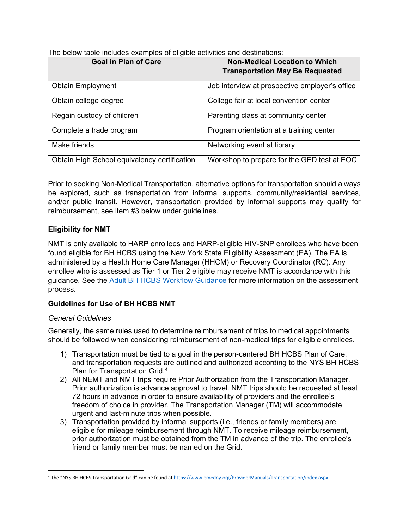| <b>Goal in Plan of Care</b>                  | <b>Non-Medical Location to Which</b><br><b>Transportation May Be Requested</b> |
|----------------------------------------------|--------------------------------------------------------------------------------|
| <b>Obtain Employment</b>                     | Job interview at prospective employer's office                                 |
| Obtain college degree                        | College fair at local convention center                                        |
| Regain custody of children                   | Parenting class at community center                                            |
| Complete a trade program                     | Program orientation at a training center                                       |
| Make friends                                 | Networking event at library                                                    |
| Obtain High School equivalency certification | Workshop to prepare for the GED test at EOC                                    |

The below table includes examples of eligible activities and destinations:

Prior to seeking Non-Medical Transportation, alternative options for transportation should always be explored, such as transportation from informal supports, community/residential services, and/or public transit. However, transportation provided by informal supports may qualify for reimbursement, see item #3 below under guidelines.

## **Eligibility for NMT**

NMT is only available to HARP enrollees and HARP-eligible HIV-SNP enrollees who have been found eligible for BH HCBS using the New York State Eligibility Assessment (EA). The EA is administered by a Health Home Care Manager (HHCM) or Recovery Coordinator (RC). Any enrollee who is assessed as Tier 1 or Tier 2 eligible may receive NMT is accordance with this guidance. See the [Adult BH HCBS Workflow Guidance](https://www.health.ny.gov/health_care/medicaid/program/medicaid_health_homes/workflow_guidance.htm) for more information on the assessment process.

## **Guidelines for Use of BH HCBS NMT**

#### *General Guidelines*

Generally, the same rules used to determine reimbursement of trips to medical appointments should be followed when considering reimbursement of non-medical trips for eligible enrollees.

- 1) Transportation must be tied to a goal in the person-centered BH HCBS Plan of Care, and transportation requests are outlined and authorized according to the NYS BH HCBS Plan for Transportation Grid.<sup>[4](#page-2-0)</sup>
- 2) All NEMT and NMT trips require Prior Authorization from the Transportation Manager. Prior authorization is advance approval to travel. NMT trips should be requested at least 72 hours in advance in order to ensure availability of providers and the enrollee's freedom of choice in provider. The Transportation Manager (TM) will accommodate urgent and last-minute trips when possible.
- 3) Transportation provided by informal supports (i.e., friends or family members) are eligible for mileage reimbursement through NMT. To receive mileage reimbursement, prior authorization must be obtained from the TM in advance of the trip. The enrollee's friend or family member must be named on the Grid.

<span id="page-2-0"></span><sup>4</sup> The "NYS BH HCBS Transportation Grid" can be found a[t https://www.emedny.org/ProviderManuals/Transportation/index.aspx](https://www.emedny.org/ProviderManuals/Transportation/index.aspx)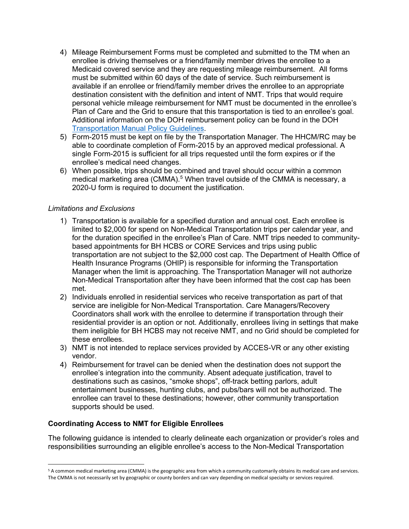- 4) Mileage Reimbursement Forms must be completed and submitted to the TM when an enrollee is driving themselves or a friend/family member drives the enrollee to a Medicaid covered service and they are requesting mileage reimbursement. All forms must be submitted within 60 days of the date of service. Such reimbursement is available if an enrollee or friend/family member drives the enrollee to an appropriate destination consistent with the definition and intent of NMT. Trips that would require personal vehicle mileage reimbursement for NMT must be documented in the enrollee's Plan of Care and the Grid to ensure that this transportation is tied to an enrollee's goal. Additional information on the DOH reimbursement policy can be found in the DOH [Transportation Manual Policy Guidelines.](https://www.emedny.org/ProviderManuals/Transportation/PDFS/Transportation_Manual_Policy_Section.pdf)
- 5) Form-2015 must be kept on file by the Transportation Manager. The HHCM/RC may be able to coordinate completion of Form-2015 by an approved medical professional. A single Form-2015 is sufficient for all trips requested until the form expires or if the enrollee's medical need changes.
- 6) When possible, trips should be combined and travel should occur within a common medical marketing area (CMMA).<sup>[5](#page-3-0)</sup> When travel outside of the CMMA is necessary, a 2020-U form is required to document the justification.

#### *Limitations and Exclusions*

- 1) Transportation is available for a specified duration and annual cost. Each enrollee is limited to \$2,000 for spend on Non-Medical Transportation trips per calendar year, and for the duration specified in the enrollee's Plan of Care. NMT trips needed to communitybased appointments for BH HCBS or CORE Services and trips using public transportation are not subject to the \$2,000 cost cap. The Department of Health Office of Health Insurance Programs (OHIP) is responsible for informing the Transportation Manager when the limit is approaching. The Transportation Manager will not authorize Non-Medical Transportation after they have been informed that the cost cap has been met.
- 2) Individuals enrolled in residential services who receive transportation as part of that service are ineligible for Non-Medical Transportation. Care Managers/Recovery Coordinators shall work with the enrollee to determine if transportation through their residential provider is an option or not. Additionally, enrollees living in settings that make them ineligible for BH HCBS may not receive NMT, and no Grid should be completed for these enrollees.
- 3) NMT is not intended to replace services provided by ACCES-VR or any other existing vendor.
- 4) Reimbursement for travel can be denied when the destination does not support the enrollee's integration into the community. Absent adequate justification, travel to destinations such as casinos, "smoke shops", off-track betting parlors, adult entertainment businesses, hunting clubs, and pubs/bars will not be authorized. The enrollee can travel to these destinations; however, other community transportation supports should be used.

#### **Coordinating Access to NMT for Eligible Enrollees**

The following guidance is intended to clearly delineate each organization or provider's roles and responsibilities surrounding an eligible enrollee's access to the Non-Medical Transportation

<span id="page-3-0"></span><sup>5</sup> A common medical marketing area (CMMA) is the geographic area from which a community customarily obtains its medical care and services. The CMMA is not necessarily set by geographic or county borders and can vary depending on medical specialty or services required.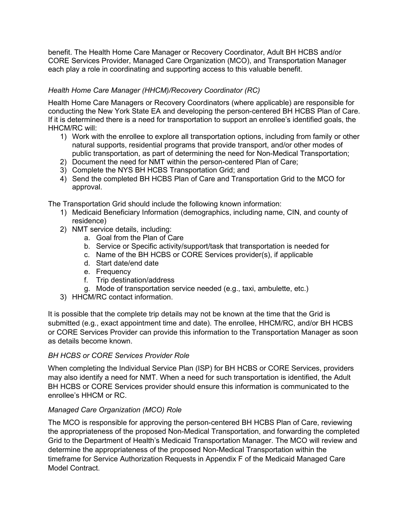benefit. The Health Home Care Manager or Recovery Coordinator, Adult BH HCBS and/or CORE Services Provider, Managed Care Organization (MCO), and Transportation Manager each play a role in coordinating and supporting access to this valuable benefit.

## *Health Home Care Manager (HHCM)/Recovery Coordinator (RC)*

Health Home Care Managers or Recovery Coordinators (where applicable) are responsible for conducting the New York State EA and developing the person-centered BH HCBS Plan of Care. If it is determined there is a need for transportation to support an enrollee's identified goals, the HHCM/RC will:

- 1) Work with the enrollee to explore all transportation options, including from family or other natural supports, residential programs that provide transport, and/or other modes of public transportation, as part of determining the need for Non-Medical Transportation;
- 2) Document the need for NMT within the person-centered Plan of Care;
- 3) Complete the NYS BH HCBS Transportation Grid; and
- 4) Send the completed BH HCBS Plan of Care and Transportation Grid to the MCO for approval.

The Transportation Grid should include the following known information:

- 1) Medicaid Beneficiary Information (demographics, including name, CIN, and county of residence)
- 2) NMT service details, including:
	- a. Goal from the Plan of Care
	- b. Service or Specific activity/support/task that transportation is needed for
	- c. Name of the BH HCBS or CORE Services provider(s), if applicable
	- d. Start date/end date
	- e. Frequency
	- f. Trip destination/address
	- g. Mode of transportation service needed (e.g., taxi, ambulette, etc.)
- 3) HHCM/RC contact information.

It is possible that the complete trip details may not be known at the time that the Grid is submitted (e.g., exact appointment time and date). The enrollee, HHCM/RC, and/or BH HCBS or CORE Services Provider can provide this information to the Transportation Manager as soon as details become known.

## *BH HCBS or CORE Services Provider Role*

When completing the Individual Service Plan (ISP) for BH HCBS or CORE Services, providers may also identify a need for NMT. When a need for such transportation is identified, the Adult BH HCBS or CORE Services provider should ensure this information is communicated to the enrollee's HHCM or RC.

## *Managed Care Organization (MCO) Role*

The MCO is responsible for approving the person-centered BH HCBS Plan of Care, reviewing the appropriateness of the proposed Non-Medical Transportation, and forwarding the completed Grid to the Department of Health's Medicaid Transportation Manager. The MCO will review and determine the appropriateness of the proposed Non-Medical Transportation within the timeframe for Service Authorization Requests in Appendix F of the Medicaid Managed Care Model Contract.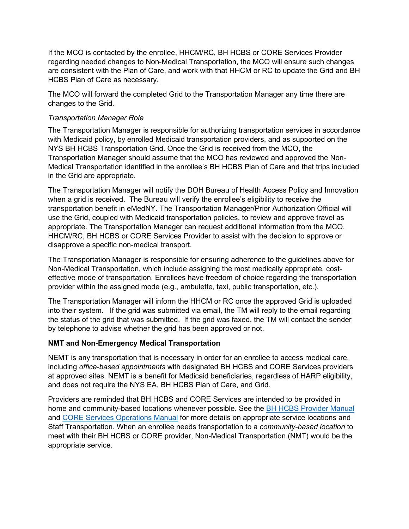If the MCO is contacted by the enrollee, HHCM/RC, BH HCBS or CORE Services Provider regarding needed changes to Non-Medical Transportation, the MCO will ensure such changes are consistent with the Plan of Care, and work with that HHCM or RC to update the Grid and BH HCBS Plan of Care as necessary.

The MCO will forward the completed Grid to the Transportation Manager any time there are changes to the Grid.

### *Transportation Manager Role*

The Transportation Manager is responsible for authorizing transportation services in accordance with Medicaid policy, by enrolled Medicaid transportation providers, and as supported on the NYS BH HCBS Transportation Grid. Once the Grid is received from the MCO, the Transportation Manager should assume that the MCO has reviewed and approved the Non-Medical Transportation identified in the enrollee's BH HCBS Plan of Care and that trips included in the Grid are appropriate.

The Transportation Manager will notify the DOH Bureau of Health Access Policy and Innovation when a grid is received. The Bureau will verify the enrollee's eligibility to receive the transportation benefit in eMedNY. The Transportation Manager/Prior Authorization Official will use the Grid, coupled with Medicaid transportation policies, to review and approve travel as appropriate. The Transportation Manager can request additional information from the MCO, HHCM/RC, BH HCBS or CORE Services Provider to assist with the decision to approve or disapprove a specific non-medical transport.

The Transportation Manager is responsible for ensuring adherence to the guidelines above for Non-Medical Transportation, which include assigning the most medically appropriate, costeffective mode of transportation. Enrollees have freedom of choice regarding the transportation provider within the assigned mode (e.g., ambulette, taxi, public transportation, etc.).

The Transportation Manager will inform the HHCM or RC once the approved Grid is uploaded into their system. If the grid was submitted via email, the TM will reply to the email regarding the status of the grid that was submitted. If the grid was faxed, the TM will contact the sender by telephone to advise whether the grid has been approved or not.

#### **NMT and Non-Emergency Medical Transportation**

NEMT is any transportation that is necessary in order for an enrollee to access medical care, including *office-based appointments* with designated BH HCBS and CORE Services providers at approved sites. NEMT is a benefit for Medicaid beneficiaries, regardless of HARP eligibility, and does not require the NYS EA, BH HCBS Plan of Care, and Grid.

Providers are reminded that BH HCBS and CORE Services are intended to be provided in home and community-based locations whenever possible. See the [BH HCBS Provider Manual](https://omh.ny.gov/omhweb/bho/docs/hcbs-manual.pdf) and [CORE Services Operations Manual](https://omh.ny.gov/omhweb/bho/core/core-services-operations-manual.pdf) for more details on appropriate service locations and Staff Transportation. When an enrollee needs transportation to a *community-based location* to meet with their BH HCBS or CORE provider, Non-Medical Transportation (NMT) would be the appropriate service.